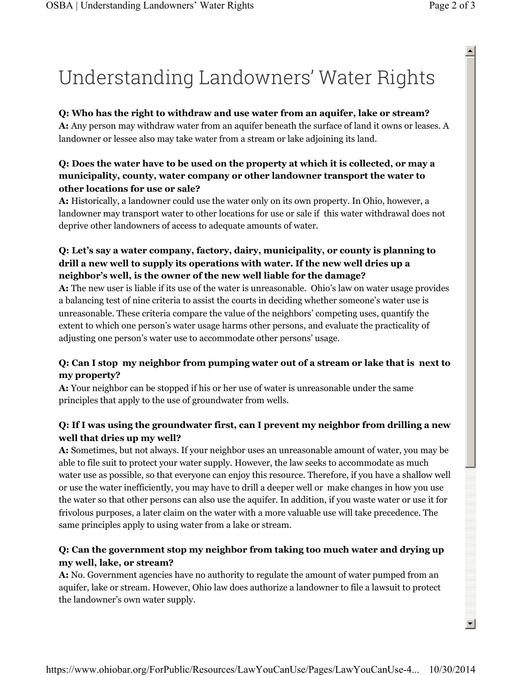# Understanding Landowners' Water Rights

#### **Q: Who has the right to withdraw and use water from an aquifer, lake or stream?**

**A:** Any person may withdraw water from an aquifer beneath the surface of land it owns or leases. A landowner or lessee also may take water from a stream or lake adjoining its land.

#### **Q: Does the water have to be used on the property at which it is collected, or may a municipality, county, water company or other landowner transport the water to other locations for use or sale?**

**A:** Historically, a landowner could use the water only on its own property. In Ohio, however, a landowner may transport water to other locations for use or sale if this water withdrawal does not deprive other landowners of access to adequate amounts of water.

## **Q: Let's say a water company, factory, dairy, municipality, or county is planning to drill a new well to supply its operations with water. If the new well dries up a neighbor's well, is the owner of the new well liable for the damage?**

**A:** The new user is liable if its use of the water is unreasonable. Ohio's law on water usage provides a balancing test of nine criteria to assist the courts in deciding whether someone's water use is unreasonable. These criteria compare the value of the neighbors' competing uses, quantify the extent to which one person's water usage harms other persons, and evaluate the practicality of adjusting one person's water use to accommodate other persons' usage.

## **Q: Can I stop my neighbor from pumping water out of a stream or lake that is next to my property?**

**A:** Your neighbor can be stopped if his or her use of water is unreasonable under the same principles that apply to the use of groundwater from wells.

## **Q: If I was using the groundwater first, can I prevent my neighbor from drilling a new well that dries up my well?**

**A:** Sometimes, but not always. If your neighbor uses an unreasonable amount of water, you may be able to file suit to protect your water supply. However, the law seeks to accommodate as much water use as possible, so that everyone can enjoy this resource. Therefore, if you have a shallow well or use the water inefficiently, you may have to drill a deeper well or make changes in how you use the water so that other persons can also use the aquifer. In addition, if you waste water or use it for frivolous purposes, a later claim on the water with a more valuable use will take precedence. The same principles apply to using water from a lake or stream.

## **Q: Can the government stop my neighbor from taking too much water and drying up my well, lake, or stream?**

**A:** No. Government agencies have no authority to regulate the amount of water pumped from an aquifer, lake or stream. However, Ohio law does authorize a landowner to file a lawsuit to protect the landowner's own water supply.

 $\blacktriangle$